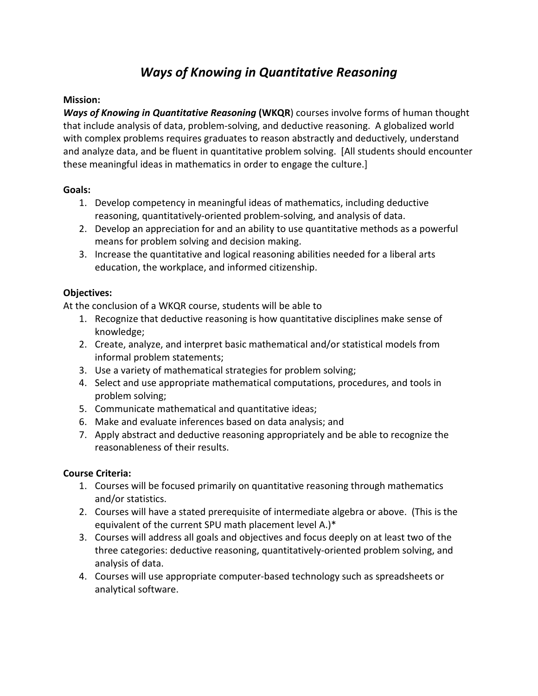# *Ways of Knowing in Quantitative Reasoning*

### **Mission:**

*Ways of Knowing in Quantitative Reasoning* **(WKQR**) courses involve forms of human thought that include analysis of data, problem-solving, and deductive reasoning. A globalized world with complex problems requires graduates to reason abstractly and deductively, understand and analyze data, and be fluent in quantitative problem solving. [All students should encounter these meaningful ideas in mathematics in order to engage the culture.]

#### **Goals:**

- 1. Develop competency in meaningful ideas of mathematics, including deductive reasoning, quantitatively-oriented problem-solving, and analysis of data.
- 2. Develop an appreciation for and an ability to use quantitative methods as a powerful means for problem solving and decision making.
- 3. Increase the quantitative and logical reasoning abilities needed for a liberal arts education, the workplace, and informed citizenship.

## **Objectives:**

At the conclusion of a WKQR course, students will be able to

- 1. Recognize that deductive reasoning is how quantitative disciplines make sense of knowledge;
- 2. Create, analyze, and interpret basic mathematical and/or statistical models from informal problem statements;
- 3. Use a variety of mathematical strategies for problem solving;
- 4. Select and use appropriate mathematical computations, procedures, and tools in problem solving;
- 5. Communicate mathematical and quantitative ideas;
- 6. Make and evaluate inferences based on data analysis; and
- 7. Apply abstract and deductive reasoning appropriately and be able to recognize the reasonableness of their results.

## **Course Criteria:**

- 1. Courses will be focused primarily on quantitative reasoning through mathematics and/or statistics.
- 2. Courses will have a stated prerequisite of intermediate algebra or above. (This is the equivalent of the current SPU math placement level A.)\*
- 3. Courses will address all goals and objectives and focus deeply on at least two of the three categories: deductive reasoning, quantitatively-oriented problem solving, and analysis of data.
- 4. Courses will use appropriate computer-based technology such as spreadsheets or analytical software.